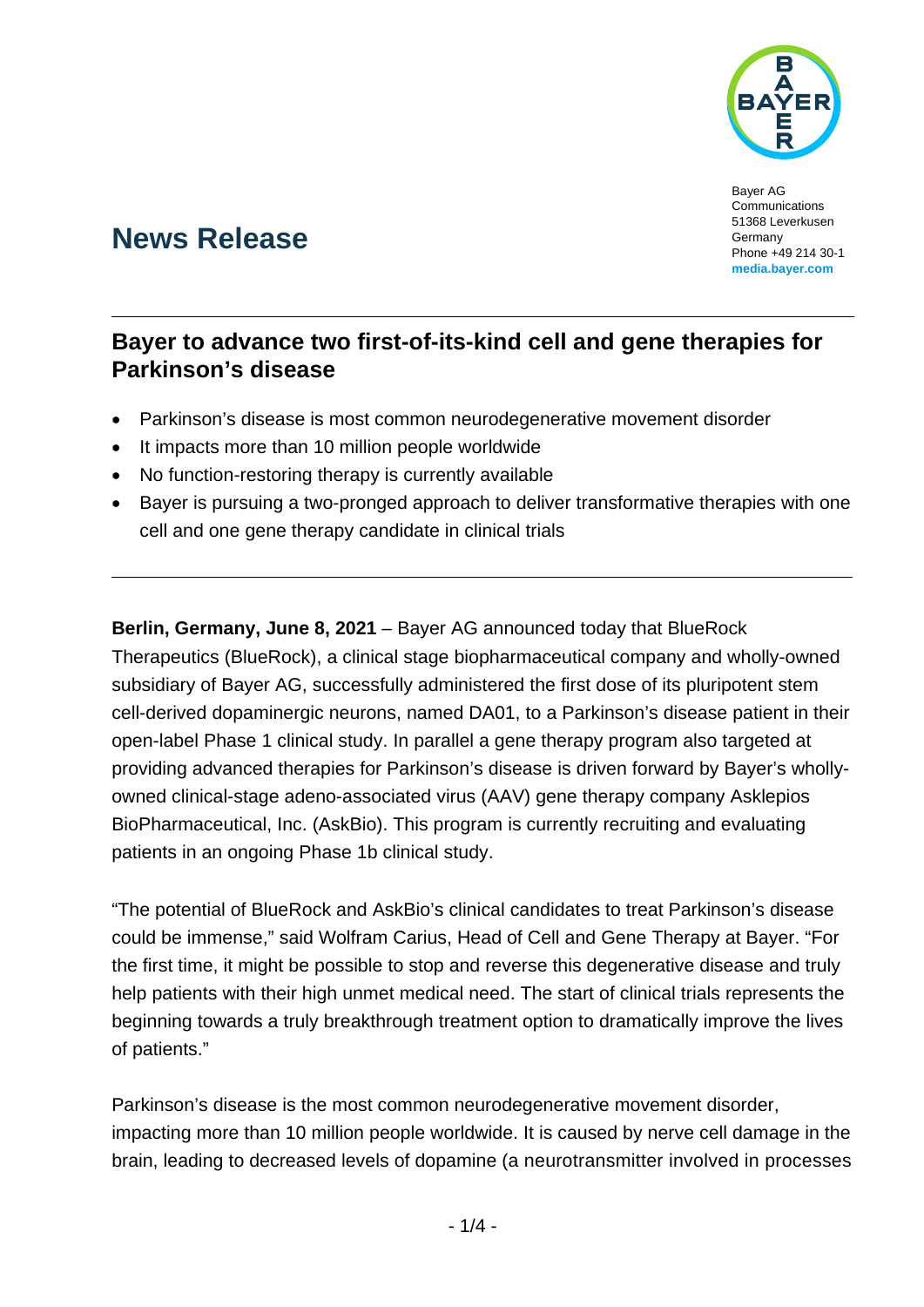

Bayer AG **Communications** 51368 Leverkusen Germany Phone +49 214 30-1 **[media.bayer.com](http://media.bayer.com/)**

# **News Release**

## **Bayer to advance two first-of-its-kind cell and gene therapies for Parkinson's disease**

- Parkinson's disease is most common neurodegenerative movement disorder
- It impacts more than 10 million people worldwide
- No function-restoring therapy is currently available
- Bayer is pursuing a two-pronged approach to deliver transformative therapies with one cell and one gene therapy candidate in clinical trials

**Berlin, Germany, June 8, 2021** – Bayer AG announced today that BlueRock Therapeutics (BlueRock), a clinical stage biopharmaceutical company and wholly-owned subsidiary of Bayer AG, successfully administered the first dose of its pluripotent stem cell-derived dopaminergic neurons, named DA01, to a Parkinson's disease patient in their open-label Phase 1 clinical study. In parallel a gene therapy program also targeted at providing advanced therapies for Parkinson's disease is driven forward by Bayer's whollyowned clinical-stage adeno-associated virus (AAV) gene therapy company Asklepios BioPharmaceutical, Inc. (AskBio). This program is currently recruiting and evaluating patients in an ongoing Phase 1b clinical study.

"The potential of BlueRock and AskBio's clinical candidates to treat Parkinson's disease could be immense," said Wolfram Carius, Head of Cell and Gene Therapy at Bayer. "For the first time, it might be possible to stop and reverse this degenerative disease and truly help patients with their high unmet medical need. The start of clinical trials represents the beginning towards a truly breakthrough treatment option to dramatically improve the lives of patients."

Parkinson's disease is the most common neurodegenerative movement disorder, impacting more than 10 million people worldwide. It is caused by nerve cell damage in the brain, leading to decreased levels of dopamine (a neurotransmitter involved in processes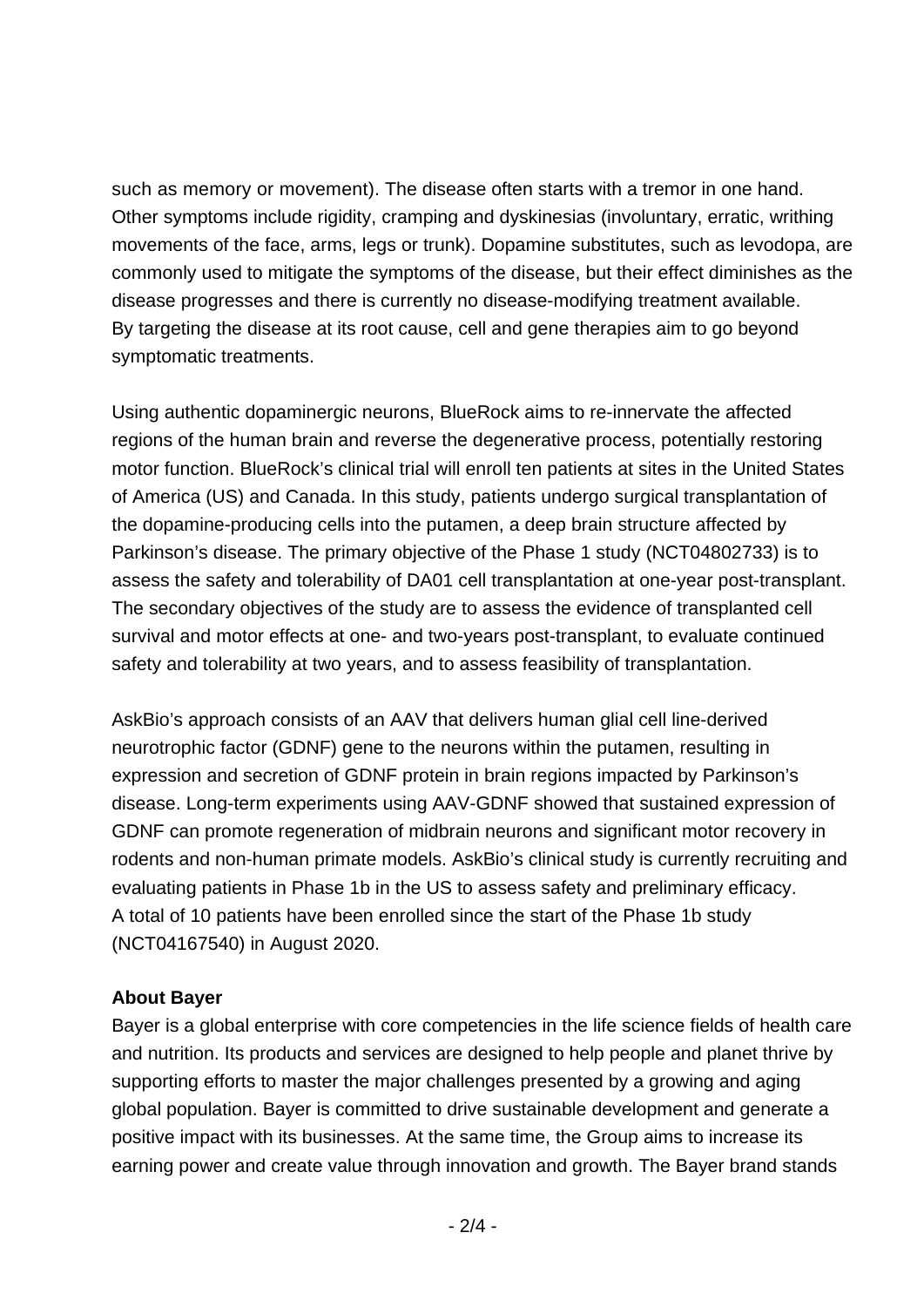such as memory or movement). The disease often starts with a tremor in one hand. Other symptoms include rigidity, cramping and dyskinesias (involuntary, erratic, writhing movements of the face, arms, legs or trunk). Dopamine substitutes, such as levodopa, are commonly used to mitigate the symptoms of the disease, but their effect diminishes as the disease progresses and there is currently no disease-modifying treatment available. By targeting the disease at its root cause, cell and gene therapies aim to go beyond symptomatic treatments.

Using authentic dopaminergic neurons, BlueRock aims to re-innervate the affected regions of the human brain and reverse the degenerative process, potentially restoring motor function. BlueRock's clinical trial will enroll ten patients at sites in the United States of America (US) and Canada. In this study, patients undergo surgical transplantation of the dopamine-producing cells into the putamen, a deep brain structure affected by Parkinson's disease. The primary objective of the Phase 1 study (NCT04802733) is to assess the safety and tolerability of DA01 cell transplantation at one-year post-transplant. The secondary objectives of the study are to assess the evidence of transplanted cell survival and motor effects at one- and two-years post-transplant, to evaluate continued safety and tolerability at two years, and to assess feasibility of transplantation.

AskBio's approach consists of an AAV that delivers human glial cell line-derived neurotrophic factor (GDNF) gene to the neurons within the putamen, resulting in expression and secretion of GDNF protein in brain regions impacted by Parkinson's disease. Long-term experiments using AAV-GDNF showed that sustained expression of GDNF can promote regeneration of midbrain neurons and significant motor recovery in rodents and non-human primate models. AskBio's clinical study is currently recruiting and evaluating patients in Phase 1b in the US to assess safety and preliminary efficacy. A total of 10 patients have been enrolled since the start of the Phase 1b study (NCT04167540) in August 2020.

#### **About Bayer**

Bayer is a global enterprise with core competencies in the life science fields of health care and nutrition. Its products and services are designed to help people and planet thrive by supporting efforts to master the major challenges presented by a growing and aging global population. Bayer is committed to drive sustainable development and generate a positive impact with its businesses. At the same time, the Group aims to increase its earning power and create value through innovation and growth. The Bayer brand stands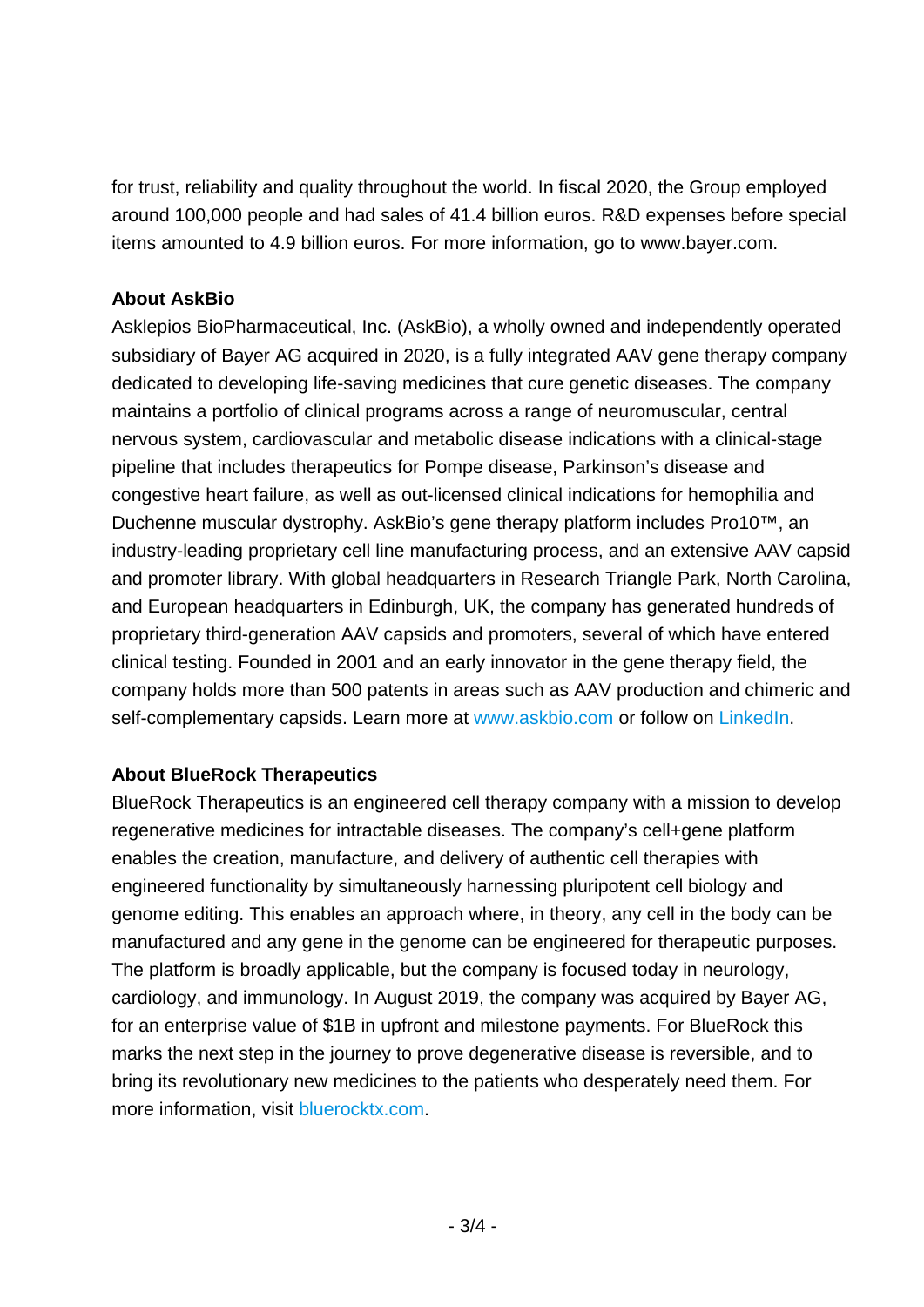for trust, reliability and quality throughout the world. In fiscal 2020, the Group employed around 100,000 people and had sales of 41.4 billion euros. R&D expenses before special items amounted to 4.9 billion euros. For more information, go to [www.bayer.com.](http://www.bayer.com/)

### **About AskBio**

Asklepios BioPharmaceutical, Inc. (AskBio), a wholly owned and independently operated subsidiary of Bayer AG acquired in 2020, is a fully integrated AAV gene therapy company dedicated to developing life-saving medicines that cure genetic diseases. The company maintains a portfolio of clinical programs across a range of neuromuscular, central nervous system, cardiovascular and metabolic disease indications with a clinical-stage pipeline that includes therapeutics for Pompe disease, Parkinson's disease and congestive heart failure, as well as out-licensed clinical indications for hemophilia and Duchenne muscular dystrophy. AskBio's gene therapy platform includes Pro10™, an industry-leading proprietary cell line manufacturing process, and an extensive AAV capsid and promoter library. With global headquarters in Research Triangle Park, North Carolina, and European headquarters in Edinburgh, UK, the company has generated hundreds of proprietary third-generation AAV capsids and promoters, several of which have entered clinical testing. Founded in 2001 and an early innovator in the gene therapy field, the company holds more than 500 patents in areas such as AAV production and chimeric and self-complementary capsids. Learn more at [www.askbio.com](http://www.askbio.com/) or follow on [LinkedIn.](https://www.linkedin.com/company/askbio/)

### **About BlueRock Therapeutics**

BlueRock Therapeutics is an engineered cell therapy company with a mission to develop regenerative medicines for intractable diseases. The company's cell+gene platform enables the creation, manufacture, and delivery of authentic cell therapies with engineered functionality by simultaneously harnessing pluripotent cell biology and genome editing. This enables an approach where, in theory, any cell in the body can be manufactured and any gene in the genome can be engineered for therapeutic purposes. The platform is broadly applicable, but the company is focused today in neurology, cardiology, and immunology. In August 2019, the company was acquired by Bayer AG, for an enterprise value of \$1B in upfront and milestone payments. For BlueRock this marks the next step in the journey to prove degenerative disease is reversible, and to bring its revolutionary new medicines to the patients who desperately need them. For more information, visit [bluerocktx.com.](http://www.bluerocktx.com/)